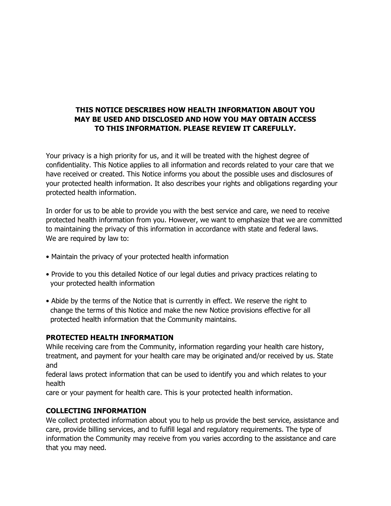## **THIS NOTICE DESCRIBES HOW HEALTH INFORMATION ABOUT YOU MAY BE USED AND DISCLOSED AND HOW YOU MAY OBTAIN ACCESS TO THIS INFORMATION. PLEASE REVIEW IT CAREFULLY.**

Your privacy is a high priority for us, and it will be treated with the highest degree of confidentiality. This Notice applies to all information and records related to your care that we have received or created. This Notice informs you about the possible uses and disclosures of your protected health information. It also describes your rights and obligations regarding your protected health information.

In order for us to be able to provide you with the best service and care, we need to receive protected health information from you. However, we want to emphasize that we are committed to maintaining the privacy of this information in accordance with state and federal laws. We are required by law to:

- Maintain the privacy of your protected health information
- Provide to you this detailed Notice of our legal duties and privacy practices relating to your protected health information
- Abide by the terms of the Notice that is currently in effect. We reserve the right to change the terms of this Notice and make the new Notice provisions effective for all protected health information that the Community maintains.

### **PROTECTED HEALTH INFORMATION**

While receiving care from the Community, information regarding your health care history, treatment, and payment for your health care may be originated and/or received by us. State and

federal laws protect information that can be used to identify you and which relates to your health

care or your payment for health care. This is your protected health information.

### **COLLECTING INFORMATION**

We collect protected information about you to help us provide the best service, assistance and care, provide billing services, and to fulfill legal and regulatory requirements. The type of information the Community may receive from you varies according to the assistance and care that you may need.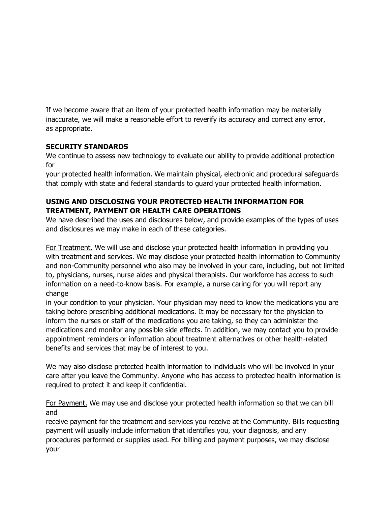If we become aware that an item of your protected health information may be materially inaccurate, we will make a reasonable effort to reverify its accuracy and correct any error, as appropriate.

### **SECURITY STANDARDS**

We continue to assess new technology to evaluate our ability to provide additional protection for

your protected health information. We maintain physical, electronic and procedural safeguards that comply with state and federal standards to guard your protected health information.

# **USING AND DISCLOSING YOUR PROTECTED HEALTH INFORMATION FOR TREATMENT, PAYMENT OR HEALTH CARE OPERATIONS**

We have described the uses and disclosures below, and provide examples of the types of uses and disclosures we may make in each of these categories.

For Treatment. We will use and disclose your protected health information in providing you with treatment and services. We may disclose your protected health information to Community and non-Community personnel who also may be involved in your care, including, but not limited to, physicians, nurses, nurse aides and physical therapists. Our workforce has access to such information on a need-to-know basis. For example, a nurse caring for you will report any change

in your condition to your physician. Your physician may need to know the medications you are taking before prescribing additional medications. It may be necessary for the physician to inform the nurses or staff of the medications you are taking, so they can administer the medications and monitor any possible side effects. In addition, we may contact you to provide appointment reminders or information about treatment alternatives or other health-related benefits and services that may be of interest to you.

We may also disclose protected health information to individuals who will be involved in your care after you leave the Community. Anyone who has access to protected health information is required to protect it and keep it confidential.

For Payment. We may use and disclose your protected health information so that we can bill and

receive payment for the treatment and services you receive at the Community. Bills requesting payment will usually include information that identifies you, your diagnosis, and any procedures performed or supplies used. For billing and payment purposes, we may disclose your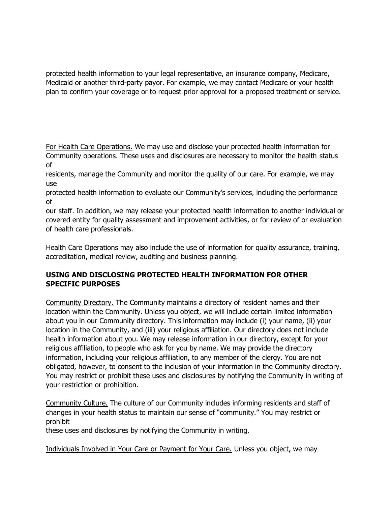protected health information to your legal representative, an insurance company, Medicare, Medicaid or another third-party payor. For example, we may contact Medicare or your health plan to confirm your coverage or to request prior approval for a proposed treatment or service.

For Health Care Operations. We may use and disclose your protected health information for Community operations. These uses and disclosures are necessary to monitor the health status of

residents, manage the Community and monitor the quality of our care. For example, we may use

protected health information to evaluate our Community's services, including the performance of

our staff. In addition, we may release your protected health information to another individual or covered entity for quality assessment and improvement activities, or for review of or evaluation of health care professionals.

Health Care Operations may also include the use of information for quality assurance, training, accreditation, medical review, auditing and business planning.

# **USING AND DISCLOSING PROTECTED HEALTH INFORMATION FOR OTHER SPECIFIC PURPOSES**

Community Directory. The Community maintains a directory of resident names and their location within the Community. Unless you object, we will include certain limited information about you in our Community directory. This information may include (i) your name, (ii) your location in the Community, and (iii) your religious affiliation. Our directory does not include health information about you. We may release information in our directory, except for your religious affiliation, to people who ask for you by name. We may provide the directory information, including your religious affiliation, to any member of the clergy. You are not obligated, however, to consent to the inclusion of your information in the Community directory. You may restrict or prohibit these uses and disclosures by notifying the Community in writing of your restriction or prohibition.

Community Culture. The culture of our Community includes informing residents and staff of changes in your health status to maintain our sense of "community." You may restrict or prohibit

these uses and disclosures by notifying the Community in writing.

Individuals Involved in Your Care or Payment for Your Care. Unless you object, we may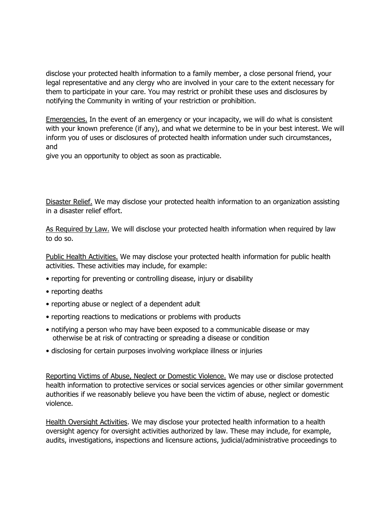disclose your protected health information to a family member, a close personal friend, your legal representative and any clergy who are involved in your care to the extent necessary for them to participate in your care. You may restrict or prohibit these uses and disclosures by notifying the Community in writing of your restriction or prohibition.

Emergencies. In the event of an emergency or your incapacity, we will do what is consistent with your known preference (if any), and what we determine to be in your best interest. We will inform you of uses or disclosures of protected health information under such circumstances, and

give you an opportunity to object as soon as practicable.

Disaster Relief. We may disclose your protected health information to an organization assisting in a disaster relief effort.

As Required by Law. We will disclose your protected health information when required by law to do so.

Public Health Activities. We may disclose your protected health information for public health activities. These activities may include, for example:

- reporting for preventing or controlling disease, injury or disability
- reporting deaths
- reporting abuse or neglect of a dependent adult
- reporting reactions to medications or problems with products
- notifying a person who may have been exposed to a communicable disease or may otherwise be at risk of contracting or spreading a disease or condition
- disclosing for certain purposes involving workplace illness or injuries

Reporting Victims of Abuse, Neglect or Domestic Violence. We may use or disclose protected health information to protective services or social services agencies or other similar government authorities if we reasonably believe you have been the victim of abuse, neglect or domestic violence.

Health Oversight Activities. We may disclose your protected health information to a health oversight agency for oversight activities authorized by law. These may include, for example, audits, investigations, inspections and licensure actions, judicial/administrative proceedings to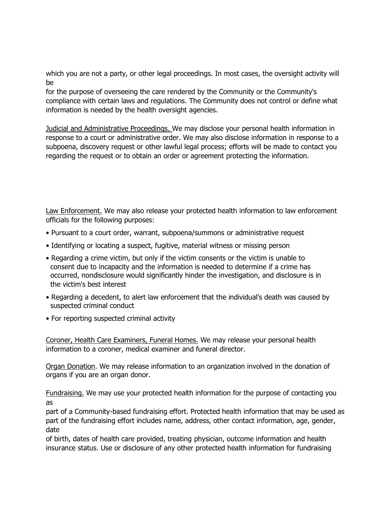which you are not a party, or other legal proceedings. In most cases, the oversight activity will be

for the purpose of overseeing the care rendered by the Community or the Community's compliance with certain laws and regulations. The Community does not control or define what information is needed by the health oversight agencies.

Judicial and Administrative Proceedings. We may disclose your personal health information in response to a court or administrative order. We may also disclose information in response to a subpoena, discovery request or other lawful legal process; efforts will be made to contact you regarding the request or to obtain an order or agreement protecting the information.

Law Enforcement. We may also release your protected health information to law enforcement officials for the following purposes:

- Pursuant to a court order, warrant, subpoena/summons or administrative request
- Identifying or locating a suspect, fugitive, material witness or missing person
- Regarding a crime victim, but only if the victim consents or the victim is unable to consent due to incapacity and the information is needed to determine if a crime has occurred, nondisclosure would significantly hinder the investigation, and disclosure is in the victim's best interest
- Regarding a decedent, to alert law enforcement that the individual's death was caused by suspected criminal conduct
- For reporting suspected criminal activity

Coroner, Health Care Examiners, Funeral Homes. We may release your personal health information to a coroner, medical examiner and funeral director.

Organ Donation. We may release information to an organization involved in the donation of organs if you are an organ donor.

Fundraising. We may use your protected health information for the purpose of contacting you as

part of a Community-based fundraising effort. Protected health information that may be used as part of the fundraising effort includes name, address, other contact information, age, gender, date

of birth, dates of health care provided, treating physician, outcome information and health insurance status. Use or disclosure of any other protected health information for fundraising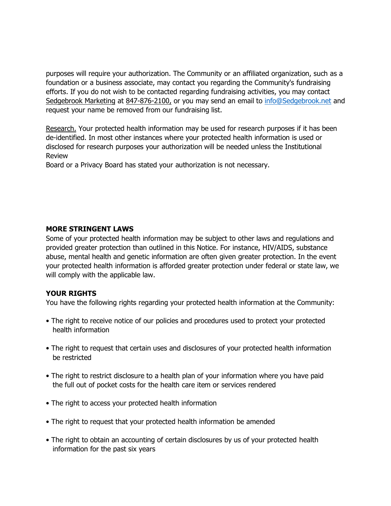purposes will require your authorization. The Community or an affiliated organization, such as a foundation or a business associate, may contact you regarding the Community's fundraising efforts. If you do not wish to be contacted regarding fundraising activities, you may contact Sedgebrook Marketing at 847-876-2100, or you may send an email to [info@Sedgebrook.net](mailto:info@Sedgebrook.net) and request your name be removed from our fundraising list.

Research. Your protected health information may be used for research purposes if it has been de-identified. In most other instances where your protected health information is used or disclosed for research purposes your authorization will be needed unless the Institutional Review

Board or a Privacy Board has stated your authorization is not necessary.

#### **MORE STRINGENT LAWS**

Some of your protected health information may be subject to other laws and regulations and provided greater protection than outlined in this Notice. For instance, HIV/AIDS, substance abuse, mental health and genetic information are often given greater protection. In the event your protected health information is afforded greater protection under federal or state law, we will comply with the applicable law.

### **YOUR RIGHTS**

You have the following rights regarding your protected health information at the Community:

- The right to receive notice of our policies and procedures used to protect your protected health information
- The right to request that certain uses and disclosures of your protected health information be restricted
- The right to restrict disclosure to a health plan of your information where you have paid the full out of pocket costs for the health care item or services rendered
- The right to access your protected health information
- The right to request that your protected health information be amended
- The right to obtain an accounting of certain disclosures by us of your protected health information for the past six years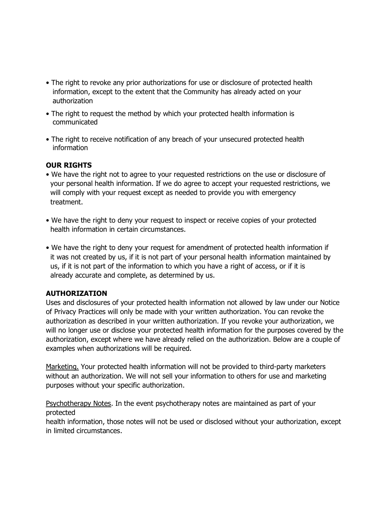- The right to revoke any prior authorizations for use or disclosure of protected health information, except to the extent that the Community has already acted on your authorization
- The right to request the method by which your protected health information is communicated
- The right to receive notification of any breach of your unsecured protected health information

# **OUR RIGHTS**

- We have the right not to agree to your requested restrictions on the use or disclosure of your personal health information. If we do agree to accept your requested restrictions, we will comply with your request except as needed to provide you with emergency treatment.
- We have the right to deny your request to inspect or receive copies of your protected health information in certain circumstances.
- We have the right to deny your request for amendment of protected health information if it was not created by us, if it is not part of your personal health information maintained by us, if it is not part of the information to which you have a right of access, or if it is already accurate and complete, as determined by us.

### **AUTHORIZATION**

Uses and disclosures of your protected health information not allowed by law under our Notice of Privacy Practices will only be made with your written authorization. You can revoke the authorization as described in your written authorization. If you revoke your authorization, we will no longer use or disclose your protected health information for the purposes covered by the authorization, except where we have already relied on the authorization. Below are a couple of examples when authorizations will be required.

Marketing. Your protected health information will not be provided to third-party marketers without an authorization. We will not sell your information to others for use and marketing purposes without your specific authorization.

Psychotherapy Notes. In the event psychotherapy notes are maintained as part of your protected

health information, those notes will not be used or disclosed without your authorization, except in limited circumstances.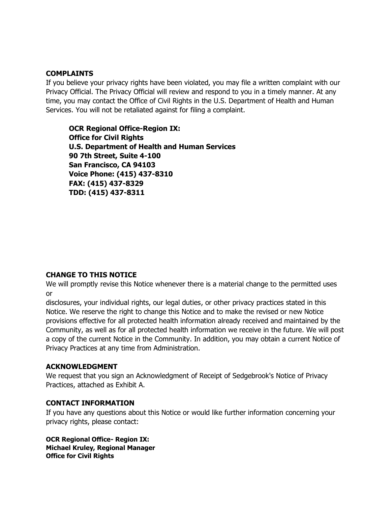#### **COMPLAINTS**

If you believe your privacy rights have been violated, you may file a written complaint with our Privacy Official. The Privacy Official will review and respond to you in a timely manner. At any time, you may contact the Office of Civil Rights in the U.S. Department of Health and Human Services. You will not be retaliated against for filing a complaint.

**OCR Regional Office-Region IX: Office for Civil Rights U.S. Department of Health and Human Services 90 7th Street, Suite 4-100 San Francisco, CA 94103 Voice Phone: (415) 437-8310 FAX: (415) 437-8329 TDD: (415) 437-8311**

#### **CHANGE TO THIS NOTICE**

We will promptly revise this Notice whenever there is a material change to the permitted uses or

disclosures, your individual rights, our legal duties, or other privacy practices stated in this Notice. We reserve the right to change this Notice and to make the revised or new Notice provisions effective for all protected health information already received and maintained by the Community, as well as for all protected health information we receive in the future. We will post a copy of the current Notice in the Community. In addition, you may obtain a current Notice of Privacy Practices at any time from Administration.

#### **ACKNOWLEDGMENT**

We request that you sign an Acknowledgment of Receipt of Sedgebrook's Notice of Privacy Practices, attached as Exhibit A.

#### **CONTACT INFORMATION**

If you have any questions about this Notice or would like further information concerning your privacy rights, please contact:

**OCR Regional Office- Region IX: Michael Kruley, Regional Manager Office for Civil Rights**